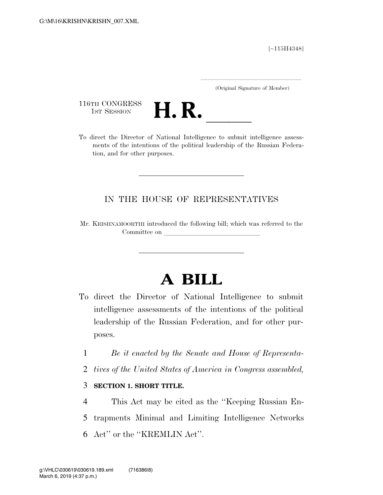[∼115H4348]

.....................................................................

(Original Signature of Member)

116TH CONGRESS<br>1st Session



116TH CONGRESS<br>1st SESSION<br>To direct the Director of National Intelligence to submit intelligence assessments of the intentions of the political leadership of the Russian Federation, and for other purposes.

## IN THE HOUSE OF REPRESENTATIVES

Mr. KRISHNAMOORTHI introduced the following bill; which was referred to the Committee on

# **A BILL**

- To direct the Director of National Intelligence to submit intelligence assessments of the intentions of the political leadership of the Russian Federation, and for other purposes.
	- 1 *Be it enacted by the Senate and House of Representa-*
	- 2 *tives of the United States of America in Congress assembled,*

#### 3 **SECTION 1. SHORT TITLE.**

4 This Act may be cited as the ''Keeping Russian En-5 trapments Minimal and Limiting Intelligence Networks 6 Act'' or the ''KREMLIN Act''.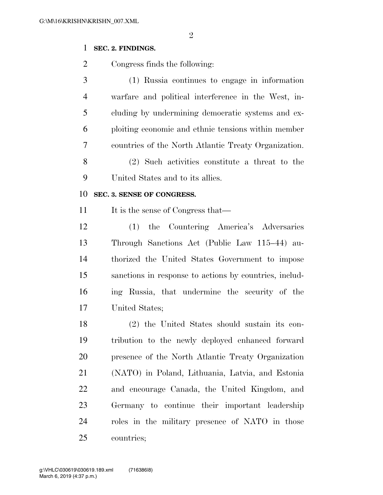### **SEC. 2. FINDINGS.**

Congress finds the following:

 (1) Russia continues to engage in information warfare and political interference in the West, in- cluding by undermining democratic systems and ex- ploiting economic and ethnic tensions within member countries of the North Atlantic Treaty Organization. (2) Such activities constitute a threat to the United States and to its allies.

#### **SEC. 3. SENSE OF CONGRESS.**

11 It is the sense of Congress that—

 (1) the Countering America's Adversaries Through Sanctions Act (Public Law 115–44) au- thorized the United States Government to impose sanctions in response to actions by countries, includ- ing Russia, that undermine the security of the United States;

 (2) the United States should sustain its con- tribution to the newly deployed enhanced forward presence of the North Atlantic Treaty Organization (NATO) in Poland, Lithuania, Latvia, and Estonia and encourage Canada, the United Kingdom, and Germany to continue their important leadership roles in the military presence of NATO in those countries;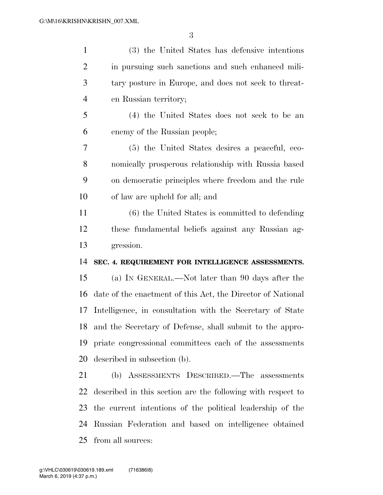| $\mathbf{1}$   | (3) the United States has defensive intentions              |
|----------------|-------------------------------------------------------------|
| $\overline{2}$ | in pursuing such sanctions and such enhanced mili-          |
| 3              | tary posture in Europe, and does not seek to threat-        |
| $\overline{4}$ | en Russian territory;                                       |
| 5              | (4) the United States does not seek to be an                |
| 6              | enemy of the Russian people;                                |
| 7              | (5) the United States desires a peaceful, eco-              |
| 8              | nomically prosperous relationship with Russia based         |
| 9              | on democratic principles where freedom and the rule         |
| 10             | of law are upheld for all; and                              |
| 11             | (6) the United States is committed to defending             |
| 12             | these fundamental beliefs against any Russian ag-           |
| 13             | gression.                                                   |
| 14             | SEC. 4. REQUIREMENT FOR INTELLIGENCE ASSESSMENTS.           |
| 15             | (a) IN GENERAL.—Not later than 90 days after the            |
| 16             | date of the enactment of this Act, the Director of National |
| 17             | Intelligence, in consultation with the Secretary of State   |
| 18             | and the Secretary of Defense, shall submit to the appro-    |
| 19             | priate congressional committees each of the assessments     |
| 20             | described in subsection (b).                                |
| 21             | (b) ASSESSMENTS DESCRIBED.—The assessments                  |
| 22             | described in this section are the following with respect to |
| 23             | the current intentions of the political leadership of the   |
| 24             | Russian Federation and based on intelligence obtained       |
| 25             | from all sources:                                           |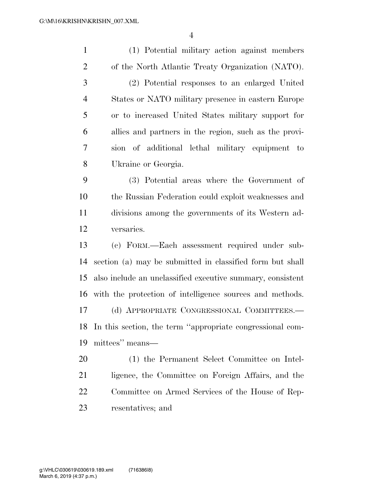| $\mathbf{1}$   | (1) Potential military action against members               |
|----------------|-------------------------------------------------------------|
| $\overline{2}$ | of the North Atlantic Treaty Organization (NATO).           |
| 3              | (2) Potential responses to an enlarged United               |
| $\overline{4}$ | States or NATO military presence in eastern Europe          |
| 5              | or to increased United States military support for          |
| 6              | allies and partners in the region, such as the provi-       |
| 7              | sion of additional lethal military equipment to             |
| 8              | Ukraine or Georgia.                                         |
| 9              | (3) Potential areas where the Government of                 |
| 10             | the Russian Federation could exploit weaknesses and         |
| 11             | divisions among the governments of its Western ad-          |
| 12             | versaries.                                                  |
| 13             | (c) FORM.—Each assessment required under sub-               |
| 14             | section (a) may be submitted in classified form but shall   |
| 15             | also include an unclassified executive summary, consistent  |
|                | 16 with the protection of intelligence sources and methods. |
| 17             | (d) APPROPRIATE CONGRESSIONAL COMMITTEES.-                  |
| 18             | In this section, the term "appropriate congressional com-   |
| 19             | mittees" means—                                             |
| 20             | (1) the Permanent Select Committee on Intel-                |
| 21             | ligence, the Committee on Foreign Affairs, and the          |
| 22             | Committee on Armed Services of the House of Rep-            |
| 23             | resentatives; and                                           |
|                |                                                             |